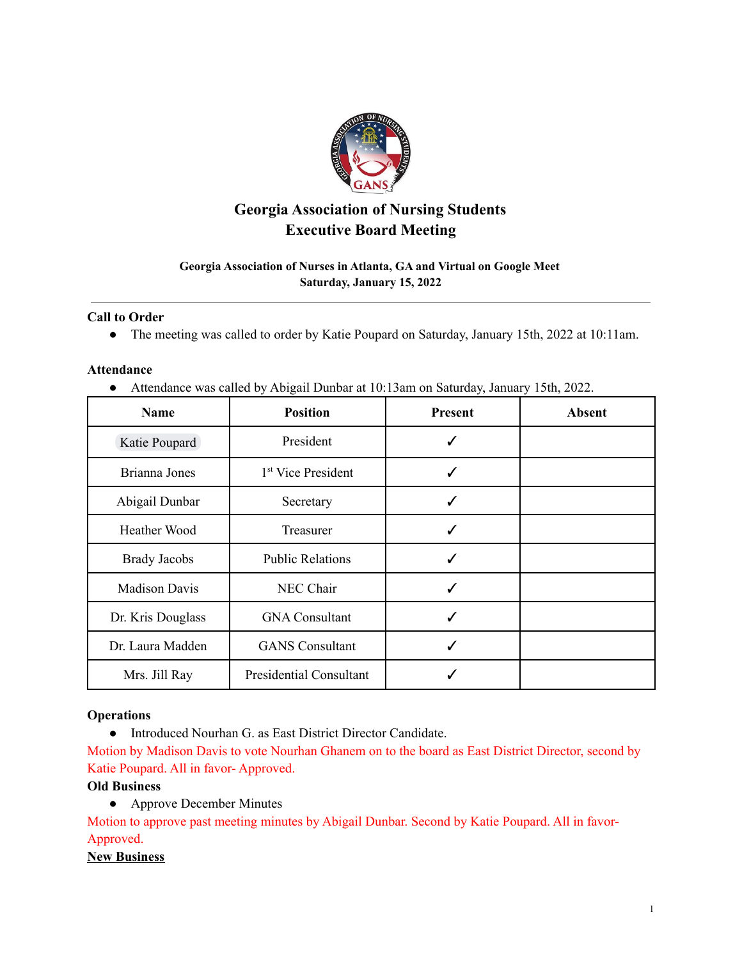

# **Georgia Association of Nursing Students Executive Board Meeting**

# **Georgia Association of Nurses in Atlanta, GA and Virtual on Google Meet Saturday, January 15, 2022**

### **Call to Order**

● The meeting was called to order by Katie Poupard on Saturday, January 15th, 2022 at 10:11am.

### **Attendance**

● Attendance was called by Abigail Dunbar at 10:13am on Saturday, January 15th, 2022.

| <b>Name</b>          | <b>Position</b>                | <b>Present</b> | <b>Absent</b> |
|----------------------|--------------------------------|----------------|---------------|
| Katie Poupard        | President                      |                |               |
| Brianna Jones        | 1 <sup>st</sup> Vice President |                |               |
| Abigail Dunbar       | Secretary                      |                |               |
| <b>Heather Wood</b>  | Treasurer                      | ✓              |               |
| <b>Brady Jacobs</b>  | <b>Public Relations</b>        |                |               |
| <b>Madison Davis</b> | NEC Chair                      |                |               |
| Dr. Kris Douglass    | <b>GNA Consultant</b>          | ✓              |               |
| Dr. Laura Madden     | <b>GANS</b> Consultant         |                |               |
| Mrs. Jill Ray        | <b>Presidential Consultant</b> |                |               |

# **Operations**

● Introduced Nourhan G. as East District Director Candidate.

Motion by Madison Davis to vote Nourhan Ghanem on to the board as East District Director, second by Katie Poupard. All in favor- Approved.

# **Old Business**

• Approve December Minutes

Motion to approve past meeting minutes by Abigail Dunbar. Second by Katie Poupard. All in favor-Approved.

## **New Business**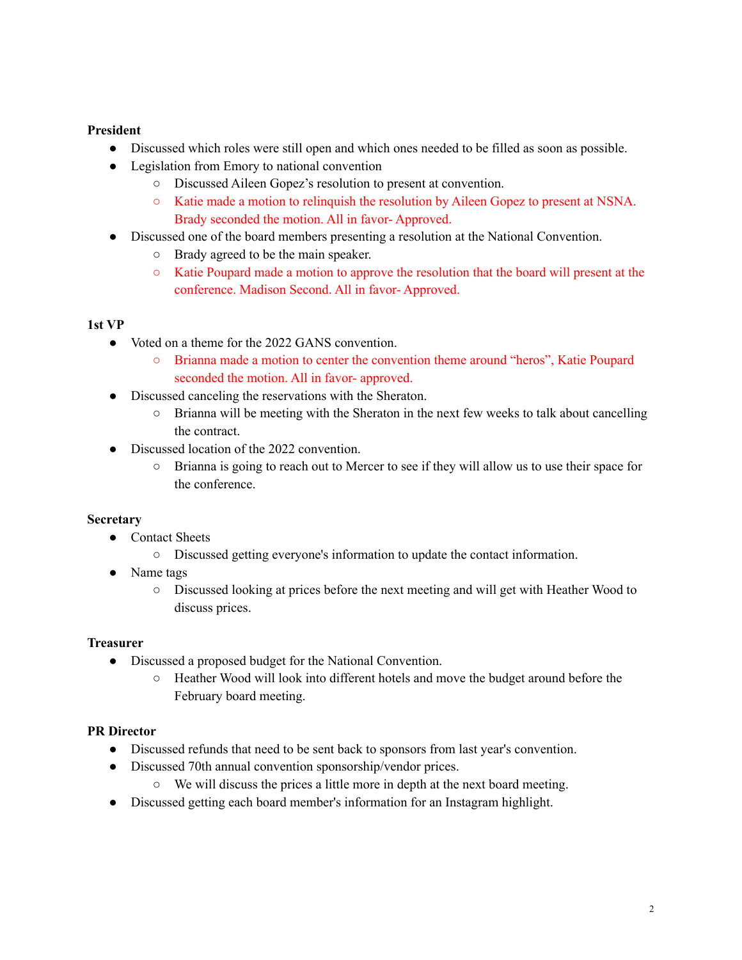# **President**

- Discussed which roles were still open and which ones needed to be filled as soon as possible.
- Legislation from Emory to national convention
	- Discussed Aileen Gopez's resolution to present at convention.
	- Katie made a motion to relinquish the resolution by Aileen Gopez to present at NSNA. Brady seconded the motion. All in favor- Approved.
- Discussed one of the board members presenting a resolution at the National Convention.
	- Brady agreed to be the main speaker.
	- Katie Poupard made a motion to approve the resolution that the board will present at the conference. Madison Second. All in favor- Approved.

## **1st VP**

- Voted on a theme for the 2022 GANS convention.
	- Brianna made a motion to center the convention theme around "heros", Katie Poupard seconded the motion. All in favor- approved.
- Discussed canceling the reservations with the Sheraton.
	- Brianna will be meeting with the Sheraton in the next few weeks to talk about cancelling the contract.
- Discussed location of the 2022 convention.
	- Brianna is going to reach out to Mercer to see if they will allow us to use their space for the conference.

# **Secretary**

- Contact Sheets
	- Discussed getting everyone's information to update the contact information.
- Name tags
	- Discussed looking at prices before the next meeting and will get with Heather Wood to discuss prices.

### **Treasurer**

- Discussed a proposed budget for the National Convention.
	- Heather Wood will look into different hotels and move the budget around before the February board meeting.

# **PR Director**

- Discussed refunds that need to be sent back to sponsors from last year's convention.
- Discussed 70th annual convention sponsorship/vendor prices.
	- We will discuss the prices a little more in depth at the next board meeting.
- Discussed getting each board member's information for an Instagram highlight.